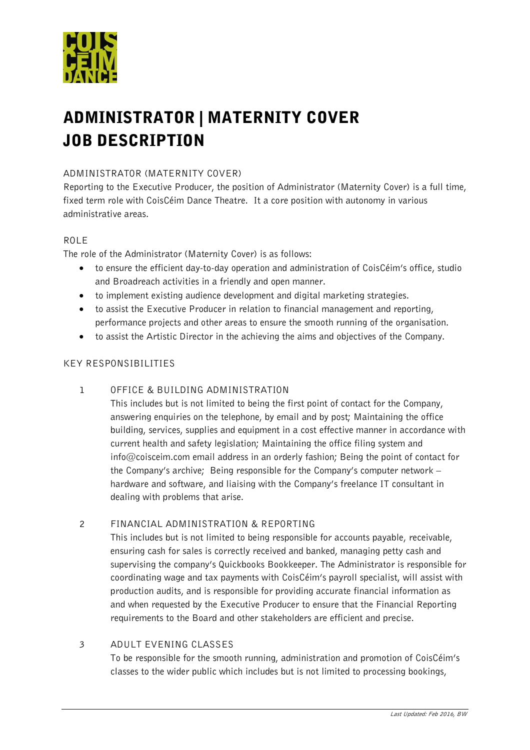

# ADMINISTRATOR | MATERNITY COVER JOB DESCRIPTION

# ADMINISTRATOR (MATERNITY COVER)

Reporting to the Executive Producer, the position of Administrator (Maternity Cover) is a full time, fixed term role with CoisCéim Dance Theatre. It a core position with autonomy in various administrative areas.

# ROLE

The role of the Administrator (Maternity Cover) is as follows:

- to ensure the efficient day-to-day operation and administration of CoisCéim's office, studio and Broadreach activities in a friendly and open manner.
- to implement existing audience development and digital marketing strategies.
- to assist the Executive Producer in relation to financial management and reporting, performance projects and other areas to ensure the smooth running of the organisation.
- to assist the Artistic Director in the achieving the aims and objectives of the Company.

# KEY RESPONSIBILITIES

1 OFFICE & BUILDING ADMINISTRATION

This includes but is not limited to being the first point of contact for the Company, answering enquiries on the telephone, by email and by post; Maintaining the office building, services, supplies and equipment in a cost effective manner in accordance with current health and safety legislation; Maintaining the office filing system and info@coisceim.com email address in an orderly fashion; Being the point of contact for the Company's archive; Being responsible for the Company's computer network – hardware and software, and liaising with the Company's freelance IT consultant in dealing with problems that arise.

#### 2 FINANCIAL ADMINISTRATION & REPORTING

This includes but is not limited to being responsible for accounts payable, receivable, ensuring cash for sales is correctly received and banked, managing petty cash and supervising the company's Quickbooks Bookkeeper. The Administrator is responsible for coordinating wage and tax payments with CoisCéim's payroll specialist, will assist with production audits, and is responsible for providing accurate financial information as and when requested by the Executive Producer to ensure that the Financial Reporting requirements to the Board and other stakeholders are efficient and precise.

#### 3 ADULT EVENING CLASSES

To be responsible for the smooth running, administration and promotion of CoisCéim's classes to the wider public which includes but is not limited to processing bookings,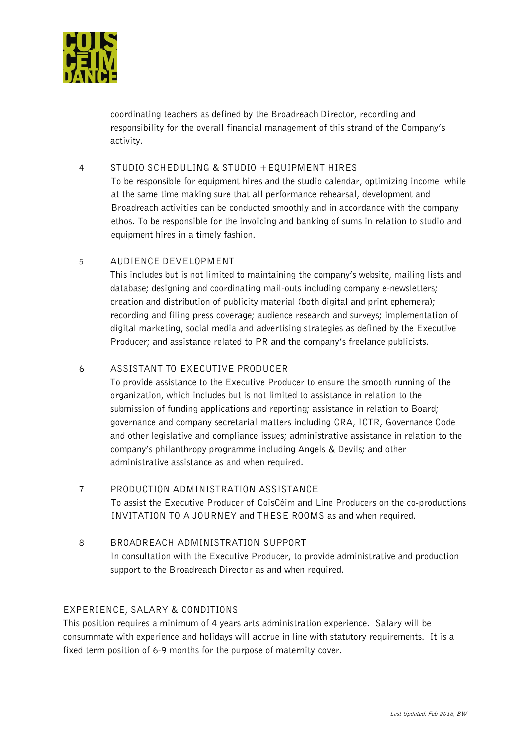

coordinating teachers as defined by the Broadreach Director, recording and responsibility for the overall financial management of this strand of the Company's activity.

#### 4 STUDIO SCHEDULING & STUDIO +EQUIPMENT HIRES

To be responsible for equipment hires and the studio calendar, optimizing income while at the same time making sure that all performance rehearsal, development and Broadreach activities can be conducted smoothly and in accordance with the company ethos. To be responsible for the invoicing and banking of sums in relation to studio and equipment hires in a timely fashion.

# 5 AUDIENCE DEVELOPMENT

This includes but is not limited to maintaining the company's website, mailing lists and database; designing and coordinating mail-outs including company e-newsletters; creation and distribution of publicity material (both digital and print ephemera); recording and filing press coverage; audience research and surveys; implementation of digital marketing, social media and advertising strategies as defined by the Executive Producer; and assistance related to PR and the company's freelance publicists.

# 6 ASSISTANT TO EXECUTIVE PRODUCER

To provide assistance to the Executive Producer to ensure the smooth running of the organization, which includes but is not limited to assistance in relation to the submission of funding applications and reporting; assistance in relation to Board; governance and company secretarial matters including CRA, ICTR, Governance Code and other legislative and compliance issues; administrative assistance in relation to the company's philanthropy programme including Angels & Devils; and other administrative assistance as and when required.

- 7 PRODUCTION ADMINISTRATION ASSISTANCE To assist the Executive Producer of CoisCéim and Line Producers on the co-productions INVITATION TO A JOURNEY and THESE ROOMS as and when required.
- 8 BROADREACH ADMINISTRATION SUPPORT In consultation with the Executive Producer, to provide administrative and production support to the Broadreach Director as and when required.

# EXPERIENCE, SALARY & CONDITIONS

This position requires a minimum of 4 years arts administration experience. Salary will be consummate with experience and holidays will accrue in line with statutory requirements. It is a fixed term position of 6-9 months for the purpose of maternity cover.